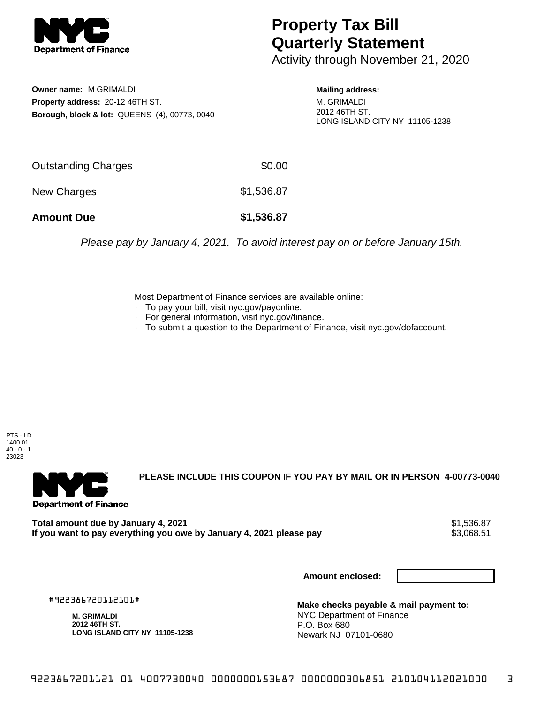

## **Property Tax Bill Quarterly Statement**

Activity through November 21, 2020

**Owner name:** M GRIMALDI **Property address:** 20-12 46TH ST. **Borough, block & lot:** QUEENS (4), 00773, 0040

**Mailing address:** M. GRIMALDI 2012 46TH ST.

LONG ISLAND CITY NY 11105-1238

Outstanding Charges **\$0.00** New Charges \$1,536.87 **Amount Due \$1,536.87**

Please pay by January 4, 2021. To avoid interest pay on or before January 15th.

Most Department of Finance services are available online:

- · To pay your bill, visit nyc.gov/payonline.
- For general information, visit nyc.gov/finance.
- · To submit a question to the Department of Finance, visit nyc.gov/dofaccount.

PTS - LD 1400.01  $40 - 0 - 1$ 23023



**PLEASE INCLUDE THIS COUPON IF YOU PAY BY MAIL OR IN PERSON 4-00773-0040** 

**Total amount due by January 4, 2021**<br>If you want to pay everything you owe by January 4, 2021 please pay **show that the summer way of the s**3,068.51 If you want to pay everything you owe by January 4, 2021 please pay

**Amount enclosed:**

#922386720112101#

**M. GRIMALDI 2012 46TH ST. LONG ISLAND CITY NY 11105-1238**

**Make checks payable & mail payment to:** NYC Department of Finance P.O. Box 680 Newark NJ 07101-0680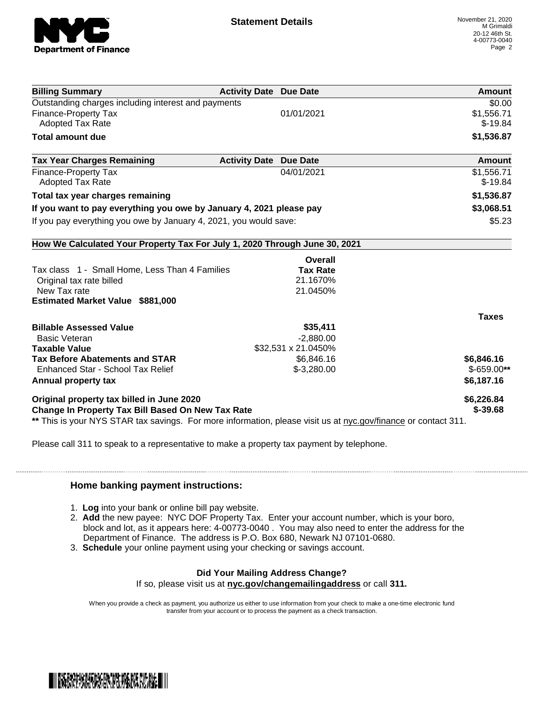

| <b>Billing Summary</b>                                                                                         | <b>Activity Date Due Date</b> | <b>Amount</b> |
|----------------------------------------------------------------------------------------------------------------|-------------------------------|---------------|
| Outstanding charges including interest and payments                                                            |                               | \$0.00        |
| <b>Finance-Property Tax</b>                                                                                    | 01/01/2021                    | \$1,556.71    |
| <b>Adopted Tax Rate</b>                                                                                        |                               | $$-19.84$     |
| <b>Total amount due</b>                                                                                        |                               | \$1,536.87    |
| <b>Tax Year Charges Remaining</b>                                                                              | <b>Activity Date Due Date</b> | <b>Amount</b> |
| Finance-Property Tax                                                                                           | 04/01/2021                    | \$1,556.71    |
| <b>Adopted Tax Rate</b>                                                                                        |                               | $$-19.84$     |
| Total tax year charges remaining                                                                               |                               | \$1,536.87    |
| If you want to pay everything you owe by January 4, 2021 please pay                                            |                               | \$3,068.51    |
| If you pay everything you owe by January 4, 2021, you would save:                                              |                               | \$5.23        |
| How We Calculated Your Property Tax For July 1, 2020 Through June 30, 2021                                     |                               |               |
|                                                                                                                | Overall                       |               |
| Tax class 1 - Small Home, Less Than 4 Families                                                                 | <b>Tax Rate</b>               |               |
| Original tax rate billed                                                                                       | 21.1670%                      |               |
| New Tax rate                                                                                                   | 21.0450%                      |               |
| <b>Estimated Market Value \$881,000</b>                                                                        |                               |               |
|                                                                                                                |                               | <b>Taxes</b>  |
| <b>Billable Assessed Value</b>                                                                                 | \$35,411                      |               |
| <b>Basic Veteran</b>                                                                                           | $-2,880.00$                   |               |
| <b>Taxable Value</b>                                                                                           | \$32,531 x 21.0450%           |               |
| <b>Tax Before Abatements and STAR</b>                                                                          | \$6,846.16                    | \$6,846.16    |
| Enhanced Star - School Tax Relief                                                                              | $$-3,280.00$                  | $$-659.00**$  |
| Annual property tax                                                                                            |                               | \$6,187.16    |
| Original property tax billed in June 2020                                                                      |                               | \$6,226.84    |
| <b>Change In Property Tax Bill Based On New Tax Rate</b>                                                       |                               | $$ -39.68$    |
| ** This is your NYS STAR tax savings. For more information, please visit us at nyc.gov/finance or contact 311. |                               |               |

Please call 311 to speak to a representative to make a property tax payment by telephone.

## **Home banking payment instructions:**

- 1. **Log** into your bank or online bill pay website.
- 2. **Add** the new payee: NYC DOF Property Tax. Enter your account number, which is your boro, block and lot, as it appears here: 4-00773-0040 . You may also need to enter the address for the Department of Finance. The address is P.O. Box 680, Newark NJ 07101-0680.
- 3. **Schedule** your online payment using your checking or savings account.

## **Did Your Mailing Address Change?**

If so, please visit us at **nyc.gov/changemailingaddress** or call **311.**

When you provide a check as payment, you authorize us either to use information from your check to make a one-time electronic fund transfer from your account or to process the payment as a check transaction.